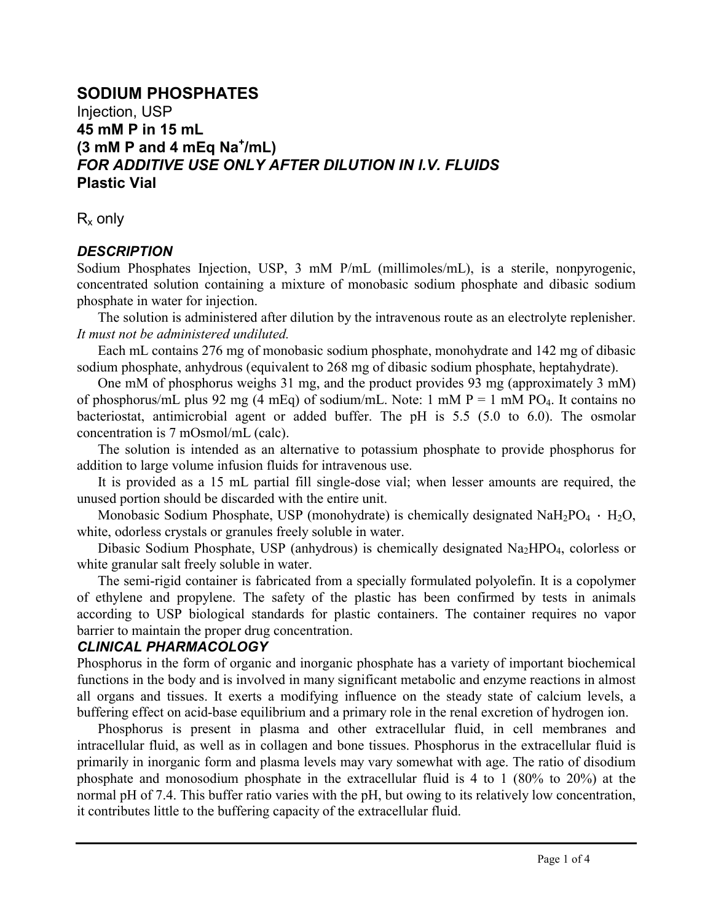# **SODIUM PHOSPHATES** Injection, USP **45 mM P in 15 mL (3 mM P and 4 mEq Na<sup>+</sup> /mL)** *FOR ADDITIVE USE ONLY AFTER DILUTION IN I.V. FLUIDS* **Plastic Vial**

 $R<sub>x</sub>$  only

## *DESCRIPTION*

Sodium Phosphates Injection, USP, 3 mM P/mL (millimoles/mL), is a sterile, nonpyrogenic, concentrated solution containing a mixture of monobasic sodium phosphate and dibasic sodium phosphate in water for injection.

The solution is administered after dilution by the intravenous route as an electrolyte replenisher. *It must not be administered undiluted.*

Each mL contains 276 mg of monobasic sodium phosphate, monohydrate and 142 mg of dibasic sodium phosphate, anhydrous (equivalent to 268 mg of dibasic sodium phosphate, heptahydrate).

One mM of phosphorus weighs 31 mg, and the product provides 93 mg (approximately 3 mM) of phosphorus/mL plus 92 mg (4 mEq) of sodium/mL. Note: 1 mM  $P = 1$  mM  $PO<sub>4</sub>$ . It contains no bacteriostat, antimicrobial agent or added buffer. The pH is 5.5 (5.0 to 6.0). The osmolar concentration is 7 mOsmol/mL (calc).

The solution is intended as an alternative to potassium phosphate to provide phosphorus for addition to large volume infusion fluids for intravenous use.

It is provided as a 15 mL partial fill single-dose vial; when lesser amounts are required, the unused portion should be discarded with the entire unit.

Monobasic Sodium Phosphate, USP (monohydrate) is chemically designated NaH<sub>2</sub>PO<sub>4</sub> · H<sub>2</sub>O, white, odorless crystals or granules freely soluble in water.

Dibasic Sodium Phosphate, USP (anhydrous) is chemically designated  $Na<sub>2</sub>HPO<sub>4</sub>$ , colorless or white granular salt freely soluble in water.

The semi-rigid container is fabricated from a specially formulated polyolefin. It is a copolymer of ethylene and propylene. The safety of the plastic has been confirmed by tests in animals according to USP biological standards for plastic containers. The container requires no vapor barrier to maintain the proper drug concentration.

## *CLINICAL PHARMACOLOGY*

Phosphorus in the form of organic and inorganic phosphate has a variety of important biochemical functions in the body and is involved in many significant metabolic and enzyme reactions in almost all organs and tissues. It exerts a modifying influence on the steady state of calcium levels, a buffering effect on acid-base equilibrium and a primary role in the renal excretion of hydrogen ion.

Phosphorus is present in plasma and other extracellular fluid, in cell membranes and intracellular fluid, as well as in collagen and bone tissues. Phosphorus in the extracellular fluid is primarily in inorganic form and plasma levels may vary somewhat with age. The ratio of disodium phosphate and monosodium phosphate in the extracellular fluid is 4 to 1 (80% to 20%) at the normal pH of 7.4. This buffer ratio varies with the pH, but owing to its relatively low concentration, it contributes little to the buffering capacity of the extracellular fluid.

İ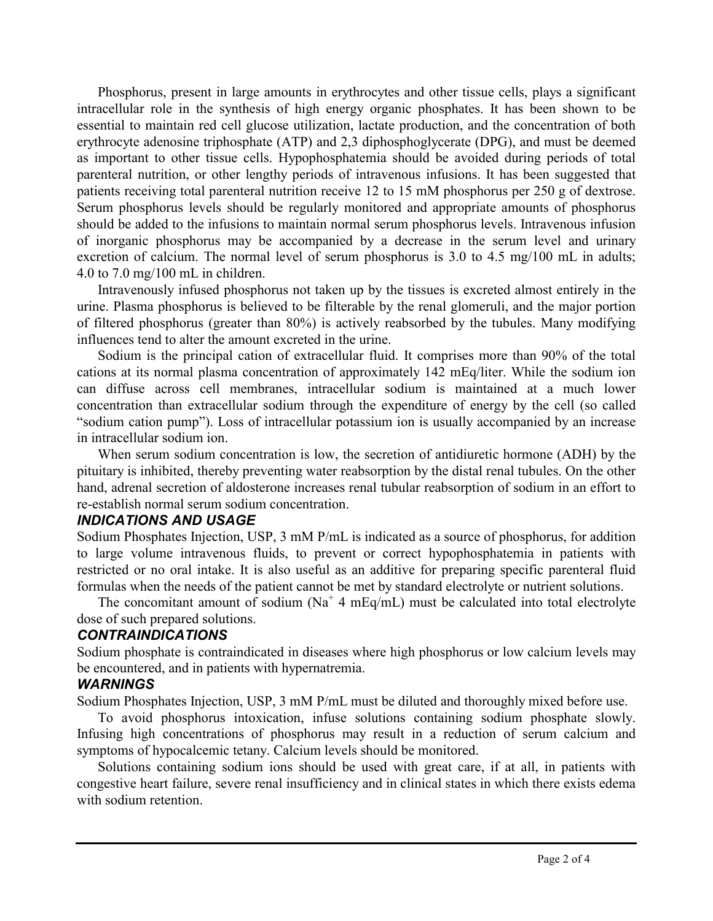Phosphorus, present in large amounts in erythrocytes and other tissue cells, plays a significant intracellular role in the synthesis of high energy organic phosphates. It has been shown to be essential to maintain red cell glucose utilization, lactate production, and the concentration of both erythrocyte adenosine triphosphate (ATP) and 2,3 diphosphoglycerate (DPG), and must be deemed as important to other tissue cells. Hypophosphatemia should be avoided during periods of total parenteral nutrition, or other lengthy periods of intravenous infusions. It has been suggested that patients receiving total parenteral nutrition receive 12 to 15 mM phosphorus per 250 g of dextrose. Serum phosphorus levels should be regularly monitored and appropriate amounts of phosphorus should be added to the infusions to maintain normal serum phosphorus levels. Intravenous infusion of inorganic phosphorus may be accompanied by a decrease in the serum level and urinary excretion of calcium. The normal level of serum phosphorus is 3.0 to 4.5 mg/100 mL in adults; 4.0 to 7.0 mg/100 mL in children.

Intravenously infused phosphorus not taken up by the tissues is excreted almost entirely in the urine. Plasma phosphorus is believed to be filterable by the renal glomeruli, and the major portion of filtered phosphorus (greater than 80%) is actively reabsorbed by the tubules. Many modifying influences tend to alter the amount excreted in the urine.

Sodium is the principal cation of extracellular fluid. It comprises more than 90% of the total cations at its normal plasma concentration of approximately 142 mEq/liter. While the sodium ion can diffuse across cell membranes, intracellular sodium is maintained at a much lower concentration than extracellular sodium through the expenditure of energy by the cell (so called "sodium cation pump"). Loss of intracellular potassium ion is usually accompanied by an increase in intracellular sodium ion.

When serum sodium concentration is low, the secretion of antidiuretic hormone (ADH) by the pituitary is inhibited, thereby preventing water reabsorption by the distal renal tubules. On the other hand, adrenal secretion of aldosterone increases renal tubular reabsorption of sodium in an effort to re-establish normal serum sodium concentration.

## *INDICATIONS AND USAGE*

Sodium Phosphates Injection, USP, 3 mM P/mL is indicated as a source of phosphorus, for addition to large volume intravenous fluids, to prevent or correct hypophosphatemia in patients with restricted or no oral intake. It is also useful as an additive for preparing specific parenteral fluid formulas when the needs of the patient cannot be met by standard electrolyte or nutrient solutions.

The concomitant amount of sodium ( $Na<sup>+</sup>$  4 mEq/mL) must be calculated into total electrolyte dose of such prepared solutions.

## *CONTRAINDICATIONS*

Sodium phosphate is contraindicated in diseases where high phosphorus or low calcium levels may be encountered, and in patients with hypernatremia.

## *WARNINGS*

Sodium Phosphates Injection, USP, 3 mM P/mL must be diluted and thoroughly mixed before use.

To avoid phosphorus intoxication, infuse solutions containing sodium phosphate slowly. Infusing high concentrations of phosphorus may result in a reduction of serum calcium and symptoms of hypocalcemic tetany. Calcium levels should be monitored.

Solutions containing sodium ions should be used with great care, if at all, in patients with congestive heart failure, severe renal insufficiency and in clinical states in which there exists edema with sodium retention.

İ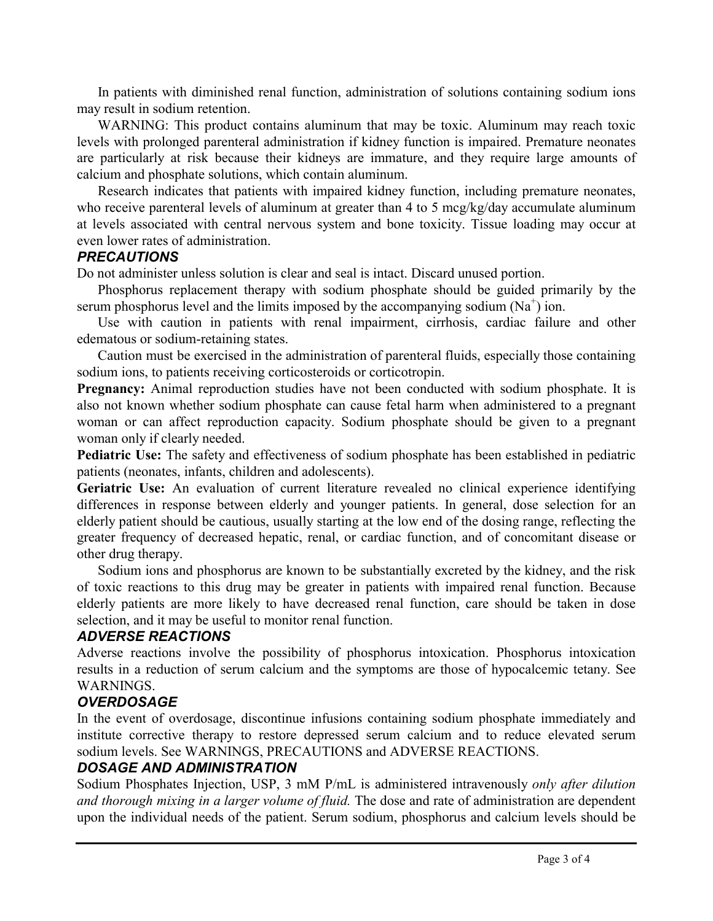In patients with diminished renal function, administration of solutions containing sodium ions may result in sodium retention.

WARNING: This product contains aluminum that may be toxic. Aluminum may reach toxic levels with prolonged parenteral administration if kidney function is impaired. Premature neonates are particularly at risk because their kidneys are immature, and they require large amounts of calcium and phosphate solutions, which contain aluminum.

Research indicates that patients with impaired kidney function, including premature neonates, who receive parenteral levels of aluminum at greater than 4 to 5 mcg/kg/day accumulate aluminum at levels associated with central nervous system and bone toxicity. Tissue loading may occur at even lower rates of administration.

#### *PRECAUTIONS*

Do not administer unless solution is clear and seal is intact. Discard unused portion.

Phosphorus replacement therapy with sodium phosphate should be guided primarily by the serum phosphorus level and the limits imposed by the accompanying sodium  $(Na^+)$  ion.

Use with caution in patients with renal impairment, cirrhosis, cardiac failure and other edematous or sodium-retaining states.

Caution must be exercised in the administration of parenteral fluids, especially those containing sodium ions, to patients receiving corticosteroids or corticotropin.

**Pregnancy:** Animal reproduction studies have not been conducted with sodium phosphate. It is also not known whether sodium phosphate can cause fetal harm when administered to a pregnant woman or can affect reproduction capacity. Sodium phosphate should be given to a pregnant woman only if clearly needed.

**Pediatric Use:** The safety and effectiveness of sodium phosphate has been established in pediatric patients (neonates, infants, children and adolescents).

**Geriatric Use:** An evaluation of current literature revealed no clinical experience identifying differences in response between elderly and younger patients. In general, dose selection for an elderly patient should be cautious, usually starting at the low end of the dosing range, reflecting the greater frequency of decreased hepatic, renal, or cardiac function, and of concomitant disease or other drug therapy.

Sodium ions and phosphorus are known to be substantially excreted by the kidney, and the risk of toxic reactions to this drug may be greater in patients with impaired renal function. Because elderly patients are more likely to have decreased renal function, care should be taken in dose selection, and it may be useful to monitor renal function.

## *ADVERSE REACTIONS*

Adverse reactions involve the possibility of phosphorus intoxication. Phosphorus intoxication results in a reduction of serum calcium and the symptoms are those of hypocalcemic tetany. See WARNINGS.

# *OVERDOSAGE*

In the event of overdosage, discontinue infusions containing sodium phosphate immediately and institute corrective therapy to restore depressed serum calcium and to reduce elevated serum sodium levels. See WARNINGS, PRECAUTIONS and ADVERSE REACTIONS.

# *DOSAGE AND ADMINISTRATION*

Sodium Phosphates Injection, USP, 3 mM P/mL is administered intravenously *only after dilution and thorough mixing in a larger volume of fluid.* The dose and rate of administration are dependent upon the individual needs of the patient. Serum sodium, phosphorus and calcium levels should be

İ